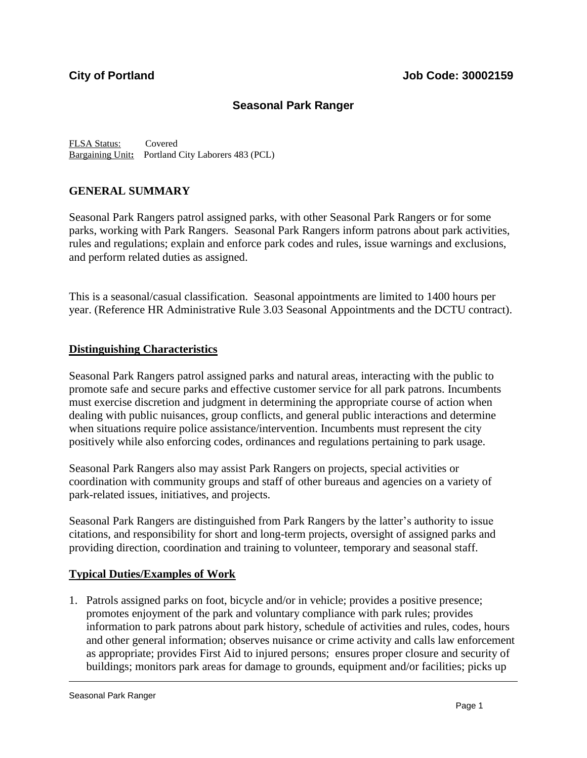# **Seasonal Park Ranger**

FLSA Status: Covered Bargaining Unit**:** Portland City Laborers 483 (PCL)

### **GENERAL SUMMARY**

Seasonal Park Rangers patrol assigned parks, with other Seasonal Park Rangers or for some parks, working with Park Rangers. Seasonal Park Rangers inform patrons about park activities, rules and regulations; explain and enforce park codes and rules, issue warnings and exclusions, and perform related duties as assigned.

This is a seasonal/casual classification. Seasonal appointments are limited to 1400 hours per year. (Reference HR Administrative Rule 3.03 Seasonal Appointments and the DCTU contract).

### **Distinguishing Characteristics**

Seasonal Park Rangers patrol assigned parks and natural areas, interacting with the public to promote safe and secure parks and effective customer service for all park patrons. Incumbents must exercise discretion and judgment in determining the appropriate course of action when dealing with public nuisances, group conflicts, and general public interactions and determine when situations require police assistance/intervention. Incumbents must represent the city positively while also enforcing codes, ordinances and regulations pertaining to park usage.

Seasonal Park Rangers also may assist Park Rangers on projects, special activities or coordination with community groups and staff of other bureaus and agencies on a variety of park-related issues, initiatives, and projects.

Seasonal Park Rangers are distinguished from Park Rangers by the latter's authority to issue citations, and responsibility for short and long-term projects, oversight of assigned parks and providing direction, coordination and training to volunteer, temporary and seasonal staff.

### **Typical Duties/Examples of Work**

1. Patrols assigned parks on foot, bicycle and/or in vehicle; provides a positive presence; promotes enjoyment of the park and voluntary compliance with park rules; provides information to park patrons about park history, schedule of activities and rules, codes, hours and other general information; observes nuisance or crime activity and calls law enforcement as appropriate; provides First Aid to injured persons; ensures proper closure and security of buildings; monitors park areas for damage to grounds, equipment and/or facilities; picks up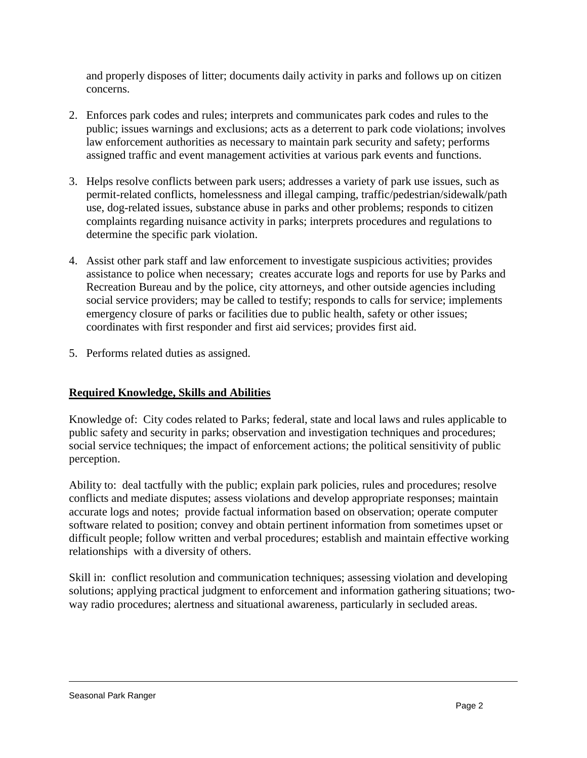and properly disposes of litter; documents daily activity in parks and follows up on citizen concerns.

- 2. Enforces park codes and rules; interprets and communicates park codes and rules to the public; issues warnings and exclusions; acts as a deterrent to park code violations; involves law enforcement authorities as necessary to maintain park security and safety; performs assigned traffic and event management activities at various park events and functions.
- 3. Helps resolve conflicts between park users; addresses a variety of park use issues, such as permit-related conflicts, homelessness and illegal camping, traffic/pedestrian/sidewalk/path use, dog-related issues, substance abuse in parks and other problems; responds to citizen complaints regarding nuisance activity in parks; interprets procedures and regulations to determine the specific park violation.
- 4. Assist other park staff and law enforcement to investigate suspicious activities; provides assistance to police when necessary; creates accurate logs and reports for use by Parks and Recreation Bureau and by the police, city attorneys, and other outside agencies including social service providers; may be called to testify; responds to calls for service; implements emergency closure of parks or facilities due to public health, safety or other issues; coordinates with first responder and first aid services; provides first aid.
- 5. Performs related duties as assigned.

# **Required Knowledge, Skills and Abilities**

Knowledge of: City codes related to Parks; federal, state and local laws and rules applicable to public safety and security in parks; observation and investigation techniques and procedures; social service techniques; the impact of enforcement actions; the political sensitivity of public perception.

Ability to: deal tactfully with the public; explain park policies, rules and procedures; resolve conflicts and mediate disputes; assess violations and develop appropriate responses; maintain accurate logs and notes; provide factual information based on observation; operate computer software related to position; convey and obtain pertinent information from sometimes upset or difficult people; follow written and verbal procedures; establish and maintain effective working relationships with a diversity of others.

Skill in: conflict resolution and communication techniques; assessing violation and developing solutions; applying practical judgment to enforcement and information gathering situations; twoway radio procedures; alertness and situational awareness, particularly in secluded areas.